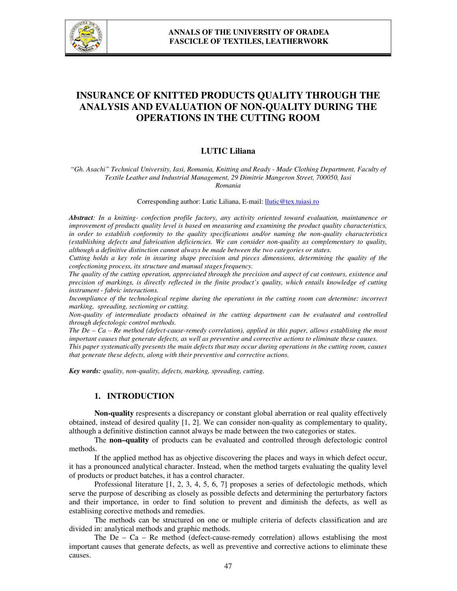

# **INSURANCE OF KNITTED PRODUCTS QUALITY THROUGH THE ANALYSIS AND EVALUATION OF NON-QUALITY DURING THE OPERATIONS IN THE CUTTING ROOM**

## **LUTIC Liliana**

*"Gh. Asachi" Technical University, Iasi, Romania, Knitting and Ready - Made Clothing Department, Faculty of Textile Leather and Industrial Management, 29 Dimitrie Mangeron Street, 700050, Iasi Romania* 

Corresponding author: Lutic Liliana, E-mail: llutic@tex.tuiasi.ro

*Abstract: In a knitting- confection profile factory, any activity oriented toward evaluation, maintanence or improvement of products quality level is based on measuring and examining the product quality characteristics, in order to establish conformity to the quality specifications and/or naming the non-quality characteristics (establishing defects and fabrication deficiencies. We can consider non-quality as complementary to quality, although a definitive distinction cannot always be made between the two categories or states.* 

*Cutting holds a key role in insuring shape precision and pieces dimensions, determining the quality of the confectioning process, its structure and manual stages frequency.* 

*The quality of the cutting operation, appreciated through the precision and aspect of cut contours, existence and precision of markings, is directly reflected in the finite product's quality, which entails knowledge of cutting instrument - fabric interactions.* 

*Incompliance of the technological regime during the operations in the cutting room can determine: incorrect marking, spreading, sectioning or cutting.* 

*Non-quality of intermediate products obtained in the cutting department can be evaluated and controlled through defectologic control methods.* 

*The De – Ca – Re method (defect-cause-remedy correlation), applied in this paper, allows establising the most important causes that generate defects, as well as preventive and corrective actions to eliminate these causes.* 

*This paper systematically presents the main defects that may occur during operations in the cutting room, causes that generate these defects, along with their preventive and corrective actions.* 

*Key words: quality, non-quality, defects, marking, spreading, cutting.*

## **1. INTRODUCTION**

**Non-quality** respresents a discrepancy or constant global aberration or real quality effectively obtained, instead of desired quality [1, 2]. We can consider non-quality as complementary to quality, although a definitive distinction cannot always be made between the two categories or states.

 The **non–quality** of products can be evaluated and controlled through defectologic control methods.

 If the applied method has as objective discovering the places and ways in which defect occur, it has a pronounced analytical character. Instead, when the method targets evaluating the quality level of products or product batches, it has a control character.

 Professional literature [1, 2, 3, 4, 5, 6, 7] proposes a series of defectologic methods, which serve the purpose of describing as closely as possible defects and determining the perturbatory factors and their importance, in order to find solution to prevent and diminish the defects, as well as establising corective methods and remedies.

 The methods can be structured on one or multiple criteria of defects classification and are divided in: analytical methods and graphic methods.

The  $De - Ca - Re$  method (defect-cause-remedy correlation) allows establising the most important causes that generate defects, as well as preventive and corrective actions to eliminate these causes.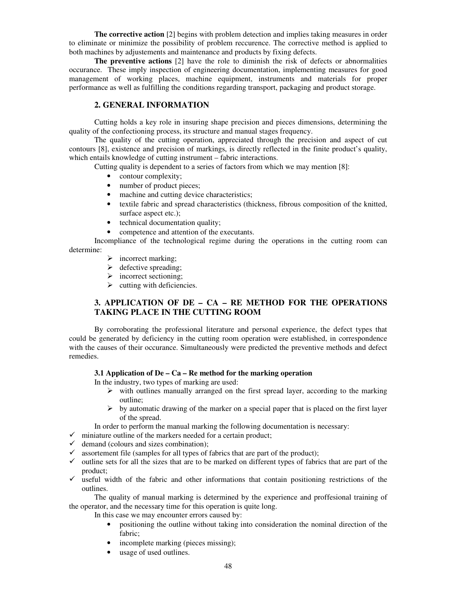**The corrective action** [2] begins with problem detection and implies taking measures in order to eliminate or minimize the possibility of problem reccurence. The corrective method is applied to both machines by adjustements and maintenance and products by fixing defects.

**The preventive actions** [2] have the role to diminish the risk of defects or abnormalities occurance. These imply inspection of engineering documentation, implementing measures for good management of working places, machine equipment, instruments and materials for proper performance as well as fulfilling the conditions regarding transport, packaging and product storage.

# **2. GENERAL INFORMATION**

Cutting holds a key role in insuring shape precision and pieces dimensions, determining the quality of the confectioning process, its structure and manual stages frequency.

The quality of the cutting operation, appreciated through the precision and aspect of cut contours [8], existence and precision of markings, is directly reflected in the finite product's quality, which entails knowledge of cutting instrument – fabric interactions.

Cutting quality is dependent to a series of factors from which we may mention [8]:

- contour complexity;
- number of product pieces;
- machine and cutting device characteristics;
- textile fabric and spread characteristics (thickness, fibrous composition of the knitted, surface aspect etc.);
- technical documentation quality;
- competence and attention of the executants.

Incompliance of the technological regime during the operations in the cutting room can determine:

- $\triangleright$  incorrect marking;
- $\triangleright$  defective spreading;
- $\triangleright$  incorrect sectioning;
- $\triangleright$  cutting with deficiencies.

# **3. APPLICATION OF DE – CA – RE METHOD FOR THE OPERATIONS TAKING PLACE IN THE CUTTING ROOM**

By corroborating the professional literature and personal experience, the defect types that could be generated by deficiency in the cutting room operation were established, in correspondence with the causes of their occurance. Simultaneously were predicted the preventive methods and defect remedies.

## **3.1 Application of De – Ca – Re method for the marking operation**

In the industry, two types of marking are used:

- $\triangleright$  with outlines manually arranged on the first spread layer, according to the marking outline;
- $\triangleright$  by automatic drawing of the marker on a special paper that is placed on the first layer of the spread.
- In order to perform the manual marking the following documentation is necessary:
- $\checkmark$  miniature outline of the markers needed for a certain product;
- $\checkmark$  demand (colours and sizes combination);
- $\checkmark$  assortement file (samples for all types of fabrics that are part of the product);
- $\checkmark$  outline sets for all the sizes that are to be marked on different types of fabrics that are part of the product;
- $\checkmark$  useful width of the fabric and other informations that contain positioning restrictions of the outlines.

The quality of manual marking is determined by the experience and proffesional training of the operator, and the necessary time for this operation is quite long.

In this case we may encounter errors caused by:

- positioning the outline without taking into consideration the nominal direction of the fabric;
- incomplete marking (pieces missing);
- usage of used outlines.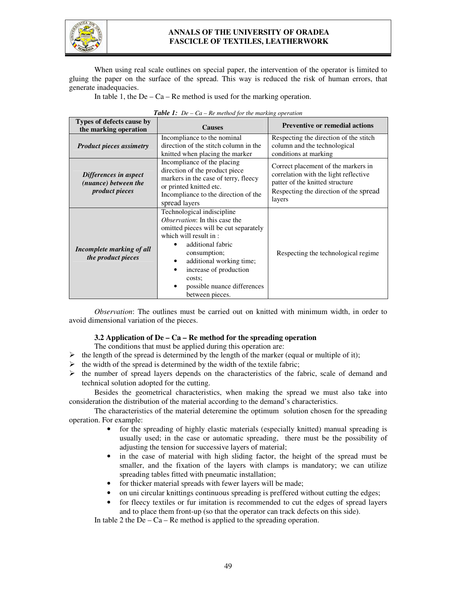

# **ANNALS OF THE UNIVERSITY OF ORADEA FASCICLE OF TEXTILES, LEATHERWORK**

When using real scale outlines on special paper, the intervention of the operator is limited to gluing the paper on the surface of the spread. This way is reduced the risk of human errors, that generate inadequacies.

In table 1, the De –  $Ca$  – Re method is used for the marking operation.

| Types of defects cause by<br>the marking operation                     | <b>Causes</b>                                                                                                                                                                                                                                                                                          | <b>Preventive or remedial actions</b>                                                                                                                               |  |
|------------------------------------------------------------------------|--------------------------------------------------------------------------------------------------------------------------------------------------------------------------------------------------------------------------------------------------------------------------------------------------------|---------------------------------------------------------------------------------------------------------------------------------------------------------------------|--|
| <b>Product pieces assimetry</b>                                        | Incompliance to the nominal<br>direction of the stitch column in the<br>knitted when placing the marker                                                                                                                                                                                                | Respecting the direction of the stitch<br>column and the technological<br>conditions at marking                                                                     |  |
| Differences in aspect<br>(nuance) between the<br><i>product pieces</i> | Incompliance of the placing<br>direction of the product piece<br>markers in the case of terry, fleecy<br>or printed knitted etc.<br>Incompliance to the direction of the<br>spread layers                                                                                                              | Correct placement of the markers in<br>correlation with the light reflective<br>patter of the knitted structure<br>Respecting the direction of the spread<br>layers |  |
| Incomplete marking of all<br><i>the product pieces</i>                 | Technological indiscipline<br>Observation: In this case the<br>omitted pieces will be cut separately<br>which will result in:<br>additional fabric<br>consumption;<br>additional working time;<br>٠<br>increase of production<br>$\bullet$<br>costs:<br>possible nuance differences<br>between pieces. | Respecting the technological regime                                                                                                                                 |  |

|  |  | <b>Table 1:</b> De $-$ Ca $-$ Re method for the marking operation |  |  |
|--|--|-------------------------------------------------------------------|--|--|
|--|--|-------------------------------------------------------------------|--|--|

*Observation*: The outlines must be carried out on knitted with minimum width, in order to avoid dimensional variation of the pieces.

### **3.2 Application of De – Ca – Re method for the spreading operation**

The conditions that must be applied during this operation are:

- $\triangleright$  the length of the spread is determined by the length of the marker (equal or multiple of it);
- $\triangleright$  the width of the spread is determined by the width of the textile fabric;
- $\triangleright$  the number of spread layers depends on the characteristics of the fabric, scale of demand and technical solution adopted for the cutting.

Besides the geometrical characteristics, when making the spread we must also take into consideration the distribution of the material according to the demand's characteristics.

The characteristics of the material deteremine the optimum solution chosen for the spreading operation. For example:

- for the spreading of highly elastic materials (especially knitted) manual spreading is usually used; in the case or automatic spreading, there must be the possibility of adjusting the tension for successive layers of material;
- in the case of material with high sliding factor, the height of the spread must be smaller, and the fixation of the layers with clamps is mandatory; we can utilize spreading tables fitted with pneumatic installation;
- for thicker material spreads with fewer layers will be made;
- on uni circular knittings continuous spreading is preffered without cutting the edges;
- for fleecy textiles or fur imitation is recommended to cut the edges of spread layers and to place them front-up (so that the operator can track defects on this side).

In table 2 the  $De - Ca - Re$  method is applied to the spreading operation.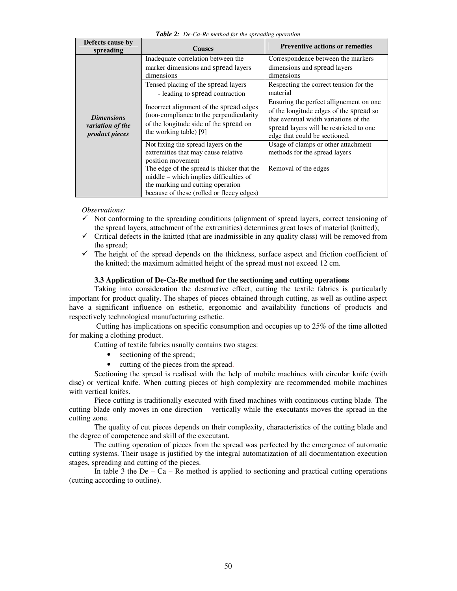| Defects cause by<br>spreading                                         | <b>Causes</b>                                                                                                                                                          | <b>Preventive actions or remedies</b>                                                                                                                                                                    |
|-----------------------------------------------------------------------|------------------------------------------------------------------------------------------------------------------------------------------------------------------------|----------------------------------------------------------------------------------------------------------------------------------------------------------------------------------------------------------|
| <b>Dimensions</b><br><i>variation of the</i><br><i>product pieces</i> | Inadequate correlation between the<br>marker dimensions and spread layers<br>dimensions                                                                                | Correspondence between the markers<br>dimensions and spread layers<br>dimensions                                                                                                                         |
|                                                                       | Tensed placing of the spread layers<br>- leading to spread contraction                                                                                                 | Respecting the correct tension for the<br>material                                                                                                                                                       |
|                                                                       | Incorrect alignment of the spread edges<br>(non-compliance to the perpendicularity<br>of the longitude side of the spread on<br>the working table) [9]                 | Ensuring the perfect allignement on one.<br>of the longitude edges of the spread so<br>that eventual width variations of the<br>spread layers will be restricted to one<br>edge that could be sectioned. |
|                                                                       | Not fixing the spread layers on the<br>extremities that may cause relative<br>position movement                                                                        | Usage of clamps or other attachment<br>methods for the spread layers                                                                                                                                     |
|                                                                       | The edge of the spread is thicker that the<br>middle – which implies difficulties of<br>the marking and cutting operation<br>because of these (rolled or fleecy edges) | Removal of the edges                                                                                                                                                                                     |

*Table 2: De-Ca-Re method for the spreading operation*

*Observations:* 

- $\checkmark$  Not conforming to the spreading conditions (alignment of spread layers, correct tensioning of the spread layers, attachment of the extremities) determines great loses of material (knitted);
- $\checkmark$  Critical defects in the knitted (that are inadmissible in any quality class) will be removed from the spread;
- $\checkmark$  The height of the spread depends on the thickness, surface aspect and friction coefficient of the knitted; the maximum admitted height of the spread must not exceed 12 cm.

### **3.3 Application of De-Ca-Re method for the sectioning and cutting operations**

Taking into consideration the destructive effect, cutting the textile fabrics is particularly important for product quality. The shapes of pieces obtained through cutting, as well as outline aspect have a significant influence on esthetic, ergonomic and availability functions of products and respectively technological manufacturing esthetic.

 Cutting has implications on specific consumption and occupies up to 25% of the time allotted for making a clothing product.

Cutting of textile fabrics usually contains two stages:

- sectioning of the spread;
- cutting of the pieces from the spread.

Sectioning the spread is realised with the help of mobile machines with circular knife (with disc) or vertical knife. When cutting pieces of high complexity are recommended mobile machines with vertical knifes.

Piece cutting is traditionally executed with fixed machines with continuous cutting blade. The cutting blade only moves in one direction – vertically while the executants moves the spread in the cutting zone.

The quality of cut pieces depends on their complexity, characteristics of the cutting blade and the degree of competence and skill of the executant.

The cutting operation of pieces from the spread was perfected by the emergence of automatic cutting systems. Their usage is justified by the integral automatization of all documentation execution stages, spreading and cutting of the pieces.

In table 3 the  $De - Ca - Re$  method is applied to sectioning and practical cutting operations (cutting according to outline).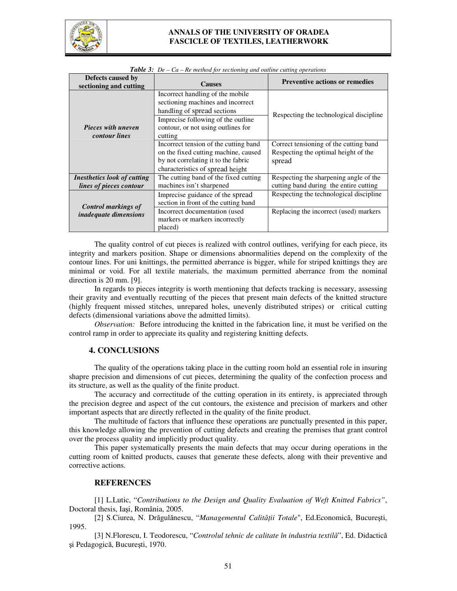

## **ANNALS OF THE UNIVERSITY OF ORADEA FASCICLE OF TEXTILES, LEATHERWORK**

| Defects caused by<br>sectioning and cutting                | <b>Causes</b>                                                                                                                                                                               | <b>Preventive actions or remedies</b>                                                    |
|------------------------------------------------------------|---------------------------------------------------------------------------------------------------------------------------------------------------------------------------------------------|------------------------------------------------------------------------------------------|
| <b>Pieces with uneven</b><br><i>contour lines</i>          | Incorrect handling of the mobile<br>sectioning machines and incorrect<br>handling of spread sections<br>Imprecise following of the outline<br>contour, or not using outlines for<br>cutting | Respecting the technological discipline                                                  |
|                                                            | Incorrect tension of the cutting band<br>on the fixed cutting machine, caused<br>by not correlating it to the fabric<br>characteristics of spread height                                    | Correct tensioning of the cutting band<br>Respecting the optimal height of the<br>spread |
| Inesthetics look of cutting<br>lines of pieces contour     | The cutting band of the fixed cutting<br>machines isn't sharpened                                                                                                                           | Respecting the sharpening angle of the<br>cutting band during the entire cutting         |
| <b>Control markings of</b><br><i>inadequate dimensions</i> | Imprecise guidance of the spread<br>section in front of the cutting band<br>Incorrect documentation (used<br>markers or markers incorrectly<br>placed)                                      | Respecting the technological discipline<br>Replacing the incorrect (used) markers        |

| <b>Table 3:</b> De $-Ca - Re$ method for sectioning and outline cutting operations |  |  |
|------------------------------------------------------------------------------------|--|--|
|                                                                                    |  |  |

The quality control of cut pieces is realized with control outlines, verifying for each piece, its integrity and markers position. Shape or dimensions abnormalities depend on the complexity of the contour lines. For uni knittings, the permitted aberrance is bigger, while for striped knittings they are minimal or void. For all textile materials, the maximum permitted aberrance from the nominal direction is 20 mm. [9].

In regards to pieces integrity is worth mentioning that defects tracking is necessary, assessing their gravity and eventually recutting of the pieces that present main defects of the knitted structure (highly frequent missed stitches, unrepared holes, unevenly distributed stripes) or critical cutting defects (dimensional variations above the admitted limits).

*Observation:* Before introducing the knitted in the fabrication line, it must be verified on the control ramp in order to appreciate its quality and registering knitting defects.

#### **4. CONCLUSIONS**

The quality of the operations taking place in the cutting room hold an essential role in insuring shapre precision and dimensions of cut pieces, determining the quality of the confection process and its structure, as well as the quality of the finite product.

 The accuracy and correctitude of the cutting operation in its entirety, is appreciated through the precision degree and aspect of the cut contours, the existence and precision of markers and other important aspects that are directly reflected in the quality of the finite product.

 The multitude of factors that influence these operations are punctually presented in this paper, this knowledge allowing the prevention of cutting defects and creating the premises that grant control over the process quality and implicitly product quality.

This paper systematically presents the main defects that may occur during operations in the cutting room of knitted products, causes that generate these defects, along with their preventive and corrective actions.

### **REFERENCES**

[1] L.Lutic, "*Contributions to the Design and Quality Evaluation of Weft Knitted Fabrics"*, Doctoral thesis, Iaşi, România, 2005.

[2] S.Ciurea, N. Drăgulănescu, "*Managementul Calităţii Totale*", Ed.Economică, Bucureşti, 1995.

[3] N.Florescu, I. Teodorescu, "*Controlul tehnic de calitate în industria textilă*", Ed. Didactică şi Pedagogică, Bucureşti, 1970.